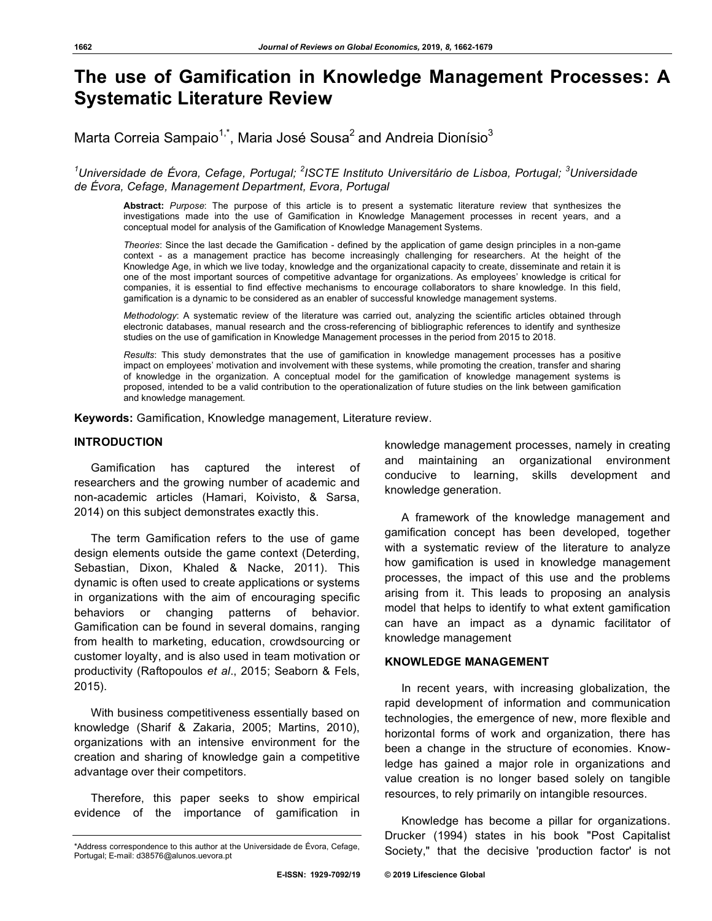# **The use of Gamification in Knowledge Management Processes: A Systematic Literature Review**

Marta Correia Sampaio<sup>1,\*</sup>, Maria José Sousa<sup>2</sup> and Andreia Dionísio<sup>3</sup>

# *1 Universidade de Évora, Cefage, Portugal; <sup>2</sup> ISCTE Instituto Universitário de Lisboa, Portugal; <sup>3</sup> Universidade de Évora, Cefage, Management Department, Evora, Portugal*

**Abstract:** *Purpose*: The purpose of this article is to present a systematic literature review that synthesizes the investigations made into the use of Gamification in Knowledge Management processes in recent years, and a conceptual model for analysis of the Gamification of Knowledge Management Systems.

*Theories*: Since the last decade the Gamification - defined by the application of game design principles in a non-game context - as a management practice has become increasingly challenging for researchers. At the height of the Knowledge Age, in which we live today, knowledge and the organizational capacity to create, disseminate and retain it is one of the most important sources of competitive advantage for organizations. As employees' knowledge is critical for companies, it is essential to find effective mechanisms to encourage collaborators to share knowledge. In this field, gamification is a dynamic to be considered as an enabler of successful knowledge management systems.

*Methodology*: A systematic review of the literature was carried out, analyzing the scientific articles obtained through electronic databases, manual research and the cross-referencing of bibliographic references to identify and synthesize studies on the use of gamification in Knowledge Management processes in the period from 2015 to 2018.

*Results*: This study demonstrates that the use of gamification in knowledge management processes has a positive impact on employees' motivation and involvement with these systems, while promoting the creation, transfer and sharing of knowledge in the organization. A conceptual model for the gamification of knowledge management systems is proposed, intended to be a valid contribution to the operationalization of future studies on the link between gamification and knowledge management.

**Keywords:** Gamification, Knowledge management, Literature review.

# **INTRODUCTION**

Gamification has captured the interest of researchers and the growing number of academic and non-academic articles (Hamari, Koivisto, & Sarsa, 2014) on this subject demonstrates exactly this.

The term Gamification refers to the use of game design elements outside the game context (Deterding, Sebastian, Dixon, Khaled & Nacke, 2011). This dynamic is often used to create applications or systems in organizations with the aim of encouraging specific behaviors or changing patterns of behavior. Gamification can be found in several domains, ranging from health to marketing, education, crowdsourcing or customer loyalty, and is also used in team motivation or productivity (Raftopoulos *et al*., 2015; Seaborn & Fels, 2015).

With business competitiveness essentially based on knowledge (Sharif & Zakaria, 2005; Martins, 2010), organizations with an intensive environment for the creation and sharing of knowledge gain a competitive advantage over their competitors.

Therefore, this paper seeks to show empirical evidence of the importance of gamification in

knowledge management processes, namely in creating and maintaining an organizational environment conducive to learning, skills development and knowledge generation.

A framework of the knowledge management and gamification concept has been developed, together with a systematic review of the literature to analyze how gamification is used in knowledge management processes, the impact of this use and the problems arising from it. This leads to proposing an analysis model that helps to identify to what extent gamification can have an impact as a dynamic facilitator of knowledge management

# **KNOWLEDGE MANAGEMENT**

In recent years, with increasing globalization, the rapid development of information and communication technologies, the emergence of new, more flexible and horizontal forms of work and organization, there has been a change in the structure of economies. Knowledge has gained a major role in organizations and value creation is no longer based solely on tangible resources, to rely primarily on intangible resources.

Knowledge has become a pillar for organizations. Drucker (1994) states in his book "Post Capitalist Society," that the decisive 'production factor' is not

<sup>\*</sup>Address correspondence to this author at the Universidade de Évora, Cefage, Portugal; E-mail: d38576@alunos.uevora.pt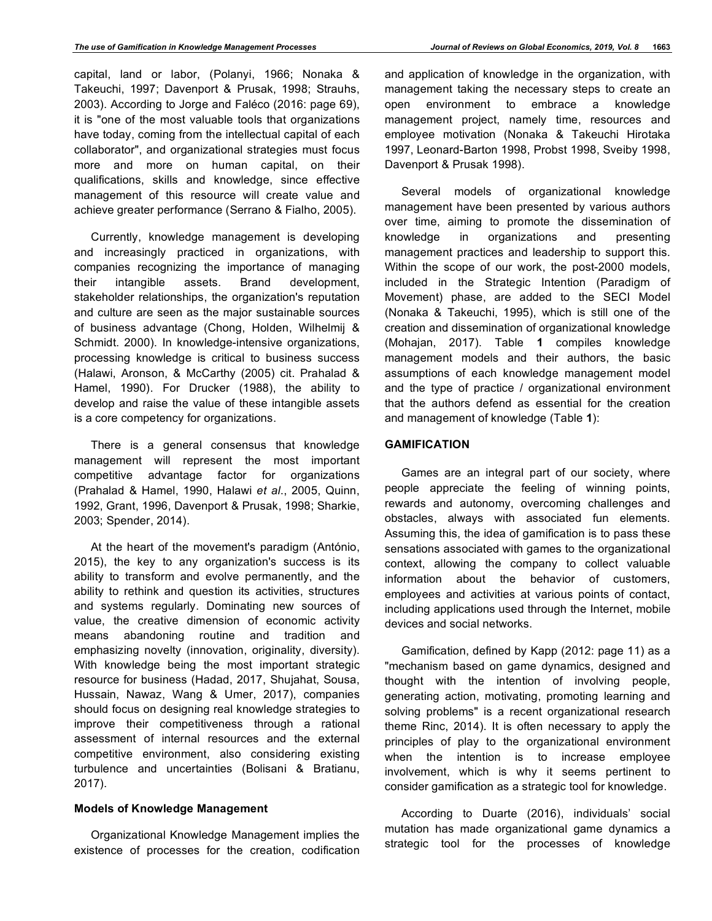capital, land or labor, (Polanyi, 1966; Nonaka & Takeuchi, 1997; Davenport & Prusak, 1998; Strauhs, 2003). According to Jorge and Faléco (2016: page 69), it is "one of the most valuable tools that organizations have today, coming from the intellectual capital of each collaborator", and organizational strategies must focus more and more on human capital, on their qualifications, skills and knowledge, since effective management of this resource will create value and achieve greater performance (Serrano & Fialho, 2005).

Currently, knowledge management is developing and increasingly practiced in organizations, with companies recognizing the importance of managing their intangible assets. Brand development, stakeholder relationships, the organization's reputation and culture are seen as the major sustainable sources of business advantage (Chong, Holden, Wilhelmij & Schmidt. 2000). In knowledge-intensive organizations, processing knowledge is critical to business success (Halawi, Aronson, & McCarthy (2005) cit. Prahalad & Hamel, 1990). For Drucker (1988), the ability to develop and raise the value of these intangible assets is a core competency for organizations.

There is a general consensus that knowledge management will represent the most important competitive advantage factor for organizations (Prahalad & Hamel, 1990, Halawi *et al*., 2005, Quinn, 1992, Grant, 1996, Davenport & Prusak, 1998; Sharkie, 2003; Spender, 2014).

At the heart of the movement's paradigm (António, 2015), the key to any organization's success is its ability to transform and evolve permanently, and the ability to rethink and question its activities, structures and systems regularly. Dominating new sources of value, the creative dimension of economic activity means abandoning routine and tradition and emphasizing novelty (innovation, originality, diversity). With knowledge being the most important strategic resource for business (Hadad, 2017, Shujahat, Sousa, Hussain, Nawaz, Wang & Umer, 2017), companies should focus on designing real knowledge strategies to improve their competitiveness through a rational assessment of internal resources and the external competitive environment, also considering existing turbulence and uncertainties (Bolisani & Bratianu, 2017).

# **Models of Knowledge Management**

Organizational Knowledge Management implies the existence of processes for the creation, codification

and application of knowledge in the organization, with management taking the necessary steps to create an open environment to embrace a knowledge management project, namely time, resources and employee motivation (Nonaka & Takeuchi Hirotaka 1997, Leonard-Barton 1998, Probst 1998, Sveiby 1998, Davenport & Prusak 1998).

Several models of organizational knowledge management have been presented by various authors over time, aiming to promote the dissemination of knowledge in organizations and presenting management practices and leadership to support this. Within the scope of our work, the post-2000 models, included in the Strategic Intention (Paradigm of Movement) phase, are added to the SECI Model (Nonaka & Takeuchi, 1995), which is still one of the creation and dissemination of organizational knowledge (Mohajan, 2017). Table **1** compiles knowledge management models and their authors, the basic assumptions of each knowledge management model and the type of practice / organizational environment that the authors defend as essential for the creation and management of knowledge (Table **1**):

## **GAMIFICATION**

Games are an integral part of our society, where people appreciate the feeling of winning points, rewards and autonomy, overcoming challenges and obstacles, always with associated fun elements. Assuming this, the idea of gamification is to pass these sensations associated with games to the organizational context, allowing the company to collect valuable information about the behavior of customers, employees and activities at various points of contact, including applications used through the Internet, mobile devices and social networks.

Gamification, defined by Kapp (2012: page 11) as a "mechanism based on game dynamics, designed and thought with the intention of involving people, generating action, motivating, promoting learning and solving problems" is a recent organizational research theme Rinc, 2014). It is often necessary to apply the principles of play to the organizational environment when the intention is to increase employee involvement, which is why it seems pertinent to consider gamification as a strategic tool for knowledge.

According to Duarte (2016), individuals' social mutation has made organizational game dynamics a strategic tool for the processes of knowledge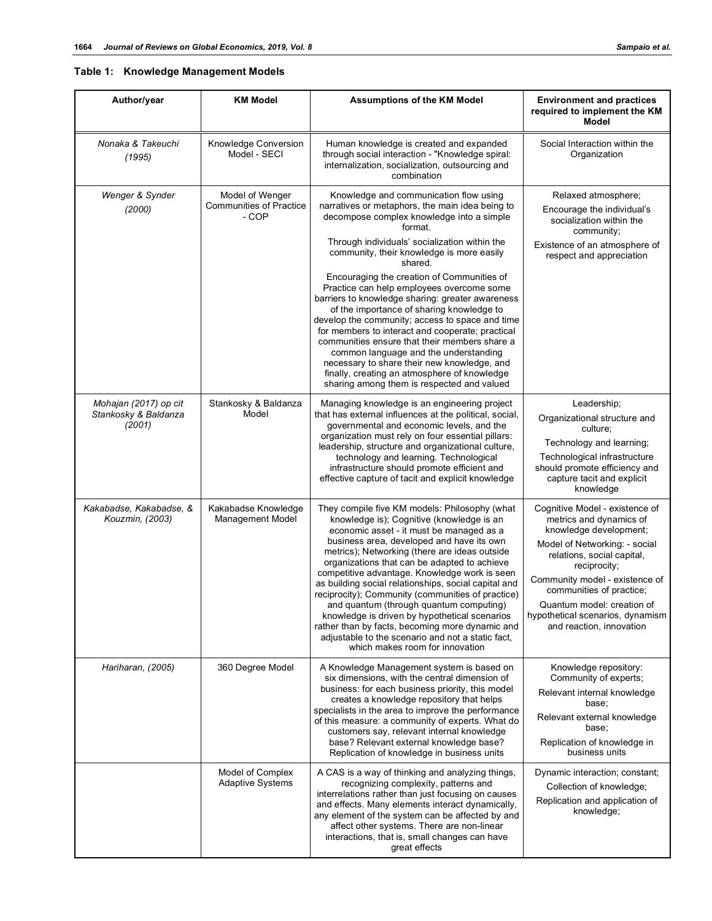# **Table 1: Knowledge Management Models**

| Author/year                                             | <b>KM Model</b>                                            | <b>Assumptions of the KM Model</b>                                                                                                                                                                                                                                                                                                                                                                                                                                                                                                                                                                                                                                                        | <b>Environment and practices</b><br>required to implement the KM<br><b>Model</b>                                                                                                                                                                                                                                               |  |
|---------------------------------------------------------|------------------------------------------------------------|-------------------------------------------------------------------------------------------------------------------------------------------------------------------------------------------------------------------------------------------------------------------------------------------------------------------------------------------------------------------------------------------------------------------------------------------------------------------------------------------------------------------------------------------------------------------------------------------------------------------------------------------------------------------------------------------|--------------------------------------------------------------------------------------------------------------------------------------------------------------------------------------------------------------------------------------------------------------------------------------------------------------------------------|--|
| Nonaka & Takeuchi<br>(1995)                             | Knowledge Conversion<br>Model - SECI                       | Human knowledge is created and expanded<br>through social interaction - "Knowledge spiral:<br>internalization, socialization, outsourcing and<br>combination                                                                                                                                                                                                                                                                                                                                                                                                                                                                                                                              | Social Interaction within the<br>Organization                                                                                                                                                                                                                                                                                  |  |
| Wenger & Synder<br>(2000)                               | Model of Wenger<br><b>Communities of Practice</b><br>- COP | Knowledge and communication flow using<br>narratives or metaphors, the main idea being to<br>decompose complex knowledge into a simple<br>format.                                                                                                                                                                                                                                                                                                                                                                                                                                                                                                                                         | Relaxed atmosphere;<br>Encourage the individual's<br>socialization within the<br>community;                                                                                                                                                                                                                                    |  |
|                                                         |                                                            | Through individuals' socialization within the<br>community, their knowledge is more easily<br>shared.                                                                                                                                                                                                                                                                                                                                                                                                                                                                                                                                                                                     | Existence of an atmosphere of<br>respect and appreciation                                                                                                                                                                                                                                                                      |  |
|                                                         |                                                            | Encouraging the creation of Communities of<br>Practice can help employees overcome some<br>barriers to knowledge sharing: greater awareness<br>of the importance of sharing knowledge to<br>develop the community; access to space and time<br>for members to interact and cooperate; practical<br>communities ensure that their members share a<br>common language and the understanding<br>necessary to share their new knowledge, and<br>finally, creating an atmosphere of knowledge<br>sharing among them is respected and valued                                                                                                                                                    |                                                                                                                                                                                                                                                                                                                                |  |
| Mohajan (2017) op cit<br>Stankosky & Baldanza<br>(2001) | Stankosky & Baldanza<br>Model                              | Managing knowledge is an engineering project<br>that has external influences at the political, social,<br>governmental and economic levels, and the<br>organization must rely on four essential pillars:<br>leadership, structure and organizational culture,<br>technology and learning. Technological<br>infrastructure should promote efficient and<br>effective capture of tacit and explicit knowledge                                                                                                                                                                                                                                                                               | Leadership;<br>Organizational structure and<br>culture:<br>Technology and learning;<br>Technological infrastructure<br>should promote efficiency and<br>capture tacit and explicit<br>knowledge                                                                                                                                |  |
| Kakabadse, Kakabadse, &<br>Kouzmin, (2003)              | Kakabadse Knowledge<br>Management Model                    | They compile five KM models: Philosophy (what<br>knowledge is); Cognitive (knowledge is an<br>economic asset - it must be managed as a<br>business area, developed and have its own<br>metrics); Networking (there are ideas outside<br>organizations that can be adapted to achieve<br>competitive advantage. Knowledge work is seen<br>as building social relationships, social capital and<br>reciprocity); Community (communities of practice)<br>and quantum (through quantum computing)<br>knowledge is driven by hypothetical scenarios<br>rather than by facts, becoming more dynamic and<br>adjustable to the scenario and not a static fact,<br>which makes room for innovation | Cognitive Model - existence of<br>metrics and dynamics of<br>knowledge development;<br>Model of Networking: - social<br>relations, social capital,<br>reciprocity;<br>Community model - existence of<br>communities of practice;<br>Quantum model: creation of<br>hypothetical scenarios, dynamism<br>and reaction, innovation |  |
| Hariharan, (2005)                                       | 360 Degree Model                                           | A Knowledge Management system is based on<br>six dimensions, with the central dimension of<br>business: for each business priority, this model<br>creates a knowledge repository that helps<br>specialists in the area to improve the performance<br>of this measure: a community of experts. What do<br>customers say, relevant internal knowledge<br>base? Relevant external knowledge base?<br>Replication of knowledge in business units                                                                                                                                                                                                                                              | Knowledge repository:<br>Community of experts;<br>Relevant internal knowledge<br>base;<br>Relevant external knowledge<br>base;<br>Replication of knowledge in<br>business units                                                                                                                                                |  |
|                                                         | Model of Complex<br><b>Adaptive Systems</b>                | A CAS is a way of thinking and analyzing things,<br>recognizing complexity, patterns and<br>interrelations rather than just focusing on causes<br>and effects. Many elements interact dynamically,<br>any element of the system can be affected by and<br>affect other systems. There are non-linear<br>interactions, that is, small changes can have<br>great effects                                                                                                                                                                                                                                                                                                                    | Dynamic interaction; constant;<br>Collection of knowledge;<br>Replication and application of<br>knowledge;                                                                                                                                                                                                                     |  |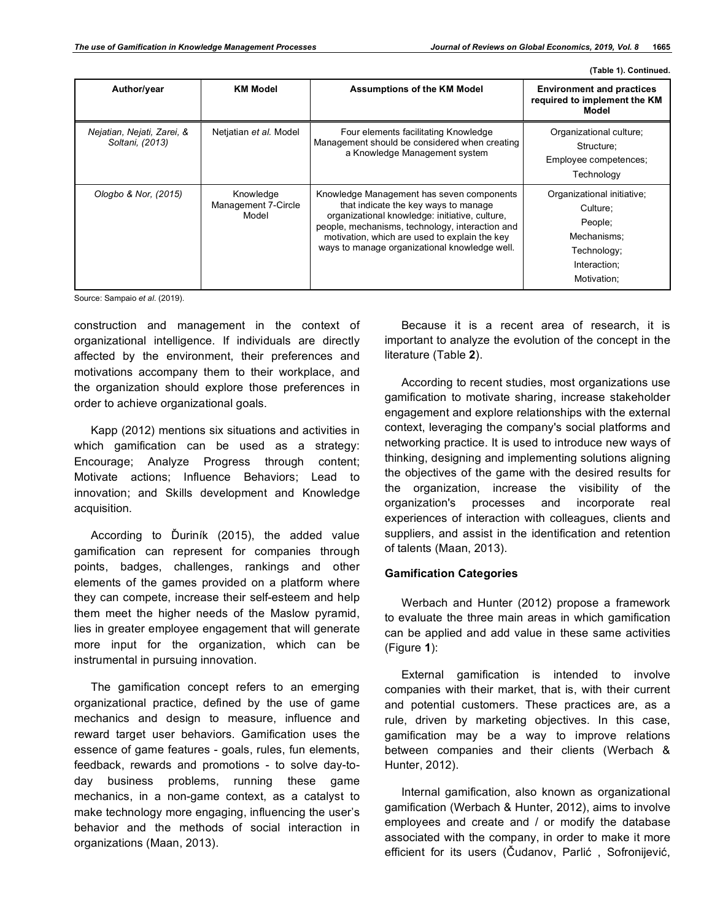**(Table 1). Continued.**

| Author/year                                   | <b>KM Model</b>                           | <b>Assumptions of the KM Model</b>                                                                                                                                                                                                                                                       | <b>Environment and practices</b><br>required to implement the KM<br>Model                                      |
|-----------------------------------------------|-------------------------------------------|------------------------------------------------------------------------------------------------------------------------------------------------------------------------------------------------------------------------------------------------------------------------------------------|----------------------------------------------------------------------------------------------------------------|
| Nejatian, Nejati, Zarei, &<br>Soltani, (2013) | Netjatian et al. Model                    | Four elements facilitating Knowledge<br>Management should be considered when creating<br>a Knowledge Management system                                                                                                                                                                   | Organizational culture;<br>Structure;<br>Employee competences;<br>Technology                                   |
| Ologbo & Nor, (2015)                          | Knowledge<br>Management 7-Circle<br>Model | Knowledge Management has seven components<br>that indicate the key ways to manage<br>organizational knowledge: initiative, culture,<br>people, mechanisms, technology, interaction and<br>motivation, which are used to explain the key<br>ways to manage organizational knowledge well. | Organizational initiative;<br>Culture;<br>People:<br>Mechanisms:<br>Technology;<br>Interaction:<br>Motivation; |

Source: Sampaio *et al*. (2019).

construction and management in the context of organizational intelligence. If individuals are directly affected by the environment, their preferences and motivations accompany them to their workplace, and the organization should explore those preferences in order to achieve organizational goals.

Kapp (2012) mentions six situations and activities in which gamification can be used as a strategy: Encourage; Analyze Progress through content; Motivate actions; Influence Behaviors; Lead to innovation; and Skills development and Knowledge acquisition.

According to Ďuriník (2015), the added value gamification can represent for companies through points, badges, challenges, rankings and other elements of the games provided on a platform where they can compete, increase their self-esteem and help them meet the higher needs of the Maslow pyramid, lies in greater employee engagement that will generate more input for the organization, which can be instrumental in pursuing innovation.

The gamification concept refers to an emerging organizational practice, defined by the use of game mechanics and design to measure, influence and reward target user behaviors. Gamification uses the essence of game features - goals, rules, fun elements, feedback, rewards and promotions - to solve day-today business problems, running these game mechanics, in a non-game context, as a catalyst to make technology more engaging, influencing the user's behavior and the methods of social interaction in organizations (Maan, 2013).

Because it is a recent area of research, it is important to analyze the evolution of the concept in the literature (Table **2**).

According to recent studies, most organizations use gamification to motivate sharing, increase stakeholder engagement and explore relationships with the external context, leveraging the company's social platforms and networking practice. It is used to introduce new ways of thinking, designing and implementing solutions aligning the objectives of the game with the desired results for the organization, increase the visibility of the organization's processes and incorporate real experiences of interaction with colleagues, clients and suppliers, and assist in the identification and retention of talents (Maan, 2013).

# **Gamification Categories**

Werbach and Hunter (2012) propose a framework to evaluate the three main areas in which gamification can be applied and add value in these same activities (Figure **1**):

External gamification is intended to involve companies with their market, that is, with their current and potential customers. These practices are, as a rule, driven by marketing objectives. In this case, gamification may be a way to improve relations between companies and their clients (Werbach & Hunter, 2012).

Internal gamification, also known as organizational gamification (Werbach & Hunter, 2012), aims to involve employees and create and / or modify the database associated with the company, in order to make it more efficient for its users (Čudanov, Parlić , Sofronijević,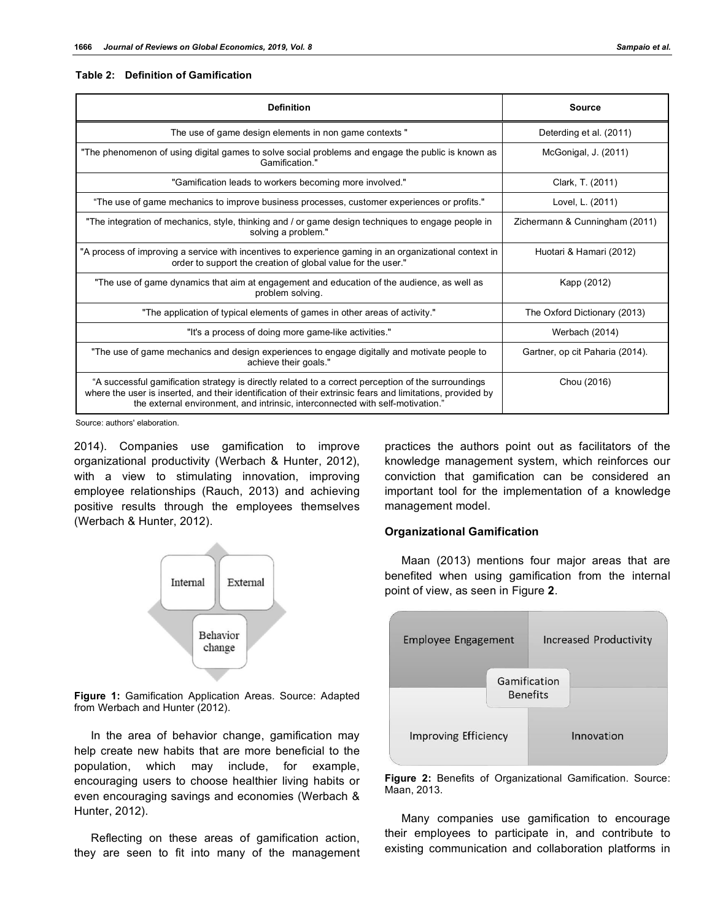#### **Table 2: Definition of Gamification**

| <b>Definition</b>                                                                                                                                                                                                                                                                                   | Source                          |
|-----------------------------------------------------------------------------------------------------------------------------------------------------------------------------------------------------------------------------------------------------------------------------------------------------|---------------------------------|
| The use of game design elements in non game contexts "                                                                                                                                                                                                                                              | Deterding et al. (2011)         |
| "The phenomenon of using digital games to solve social problems and engage the public is known as<br>Gamification."                                                                                                                                                                                 | McGonigal, J. (2011)            |
| "Gamification leads to workers becoming more involved."                                                                                                                                                                                                                                             | Clark, T. (2011)                |
| "The use of game mechanics to improve business processes, customer experiences or profits."                                                                                                                                                                                                         | Lovel, L. (2011)                |
| "The integration of mechanics, style, thinking and / or game design techniques to engage people in<br>solving a problem."                                                                                                                                                                           | Zichermann & Cunningham (2011)  |
| "A process of improving a service with incentives to experience gaming in an organizational context in<br>order to support the creation of global value for the user."                                                                                                                              | Huotari & Hamari (2012)         |
| "The use of game dynamics that aim at engagement and education of the audience, as well as<br>problem solving.                                                                                                                                                                                      | Kapp (2012)                     |
| "The application of typical elements of games in other areas of activity."                                                                                                                                                                                                                          | The Oxford Dictionary (2013)    |
| "It's a process of doing more game-like activities."                                                                                                                                                                                                                                                | Werbach (2014)                  |
| "The use of game mechanics and design experiences to engage digitally and motivate people to<br>achieve their goals."                                                                                                                                                                               | Gartner, op cit Paharia (2014). |
| "A successful gamification strategy is directly related to a correct perception of the surroundings<br>where the user is inserted, and their identification of their extrinsic fears and limitations, provided by<br>the external environment, and intrinsic, interconnected with self-motivation." | Chou (2016)                     |

Source: authors' elaboration.

2014). Companies use gamification to improve organizational productivity (Werbach & Hunter, 2012), with a view to stimulating innovation, improving employee relationships (Rauch, 2013) and achieving positive results through the employees themselves (Werbach & Hunter, 2012).



**Figure 1:** Gamification Application Areas. Source: Adapted from Werbach and Hunter (2012).

In the area of behavior change, gamification may help create new habits that are more beneficial to the population, which may include, for example, encouraging users to choose healthier living habits or even encouraging savings and economies (Werbach & Hunter, 2012).

Reflecting on these areas of gamification action, they are seen to fit into many of the management practices the authors point out as facilitators of the knowledge management system, which reinforces our conviction that gamification can be considered an important tool for the implementation of a knowledge management model.

## **Organizational Gamification**

Maan (2013) mentions four major areas that are benefited when using gamification from the internal point of view, as seen in Figure **2**.



**Figure 2:** Benefits of Organizational Gamification. Source: Maan, 2013.

Many companies use gamification to encourage their employees to participate in, and contribute to existing communication and collaboration platforms in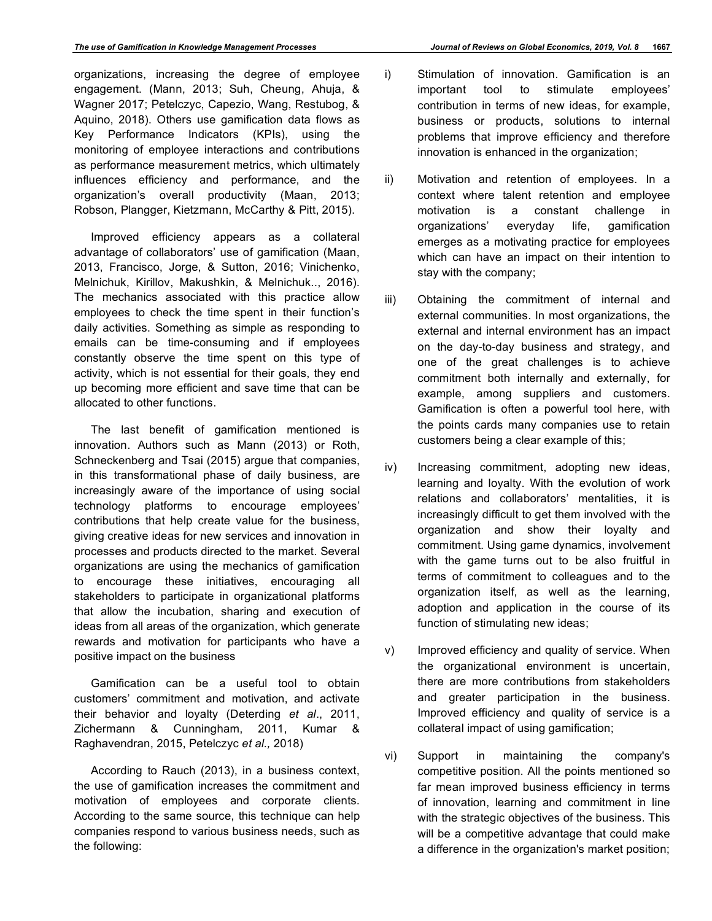organizations, increasing the degree of employee engagement. (Mann, 2013; Suh, Cheung, Ahuja, & Wagner 2017; Petelczyc, Capezio, Wang, Restubog, & Aquino, 2018). Others use gamification data flows as Key Performance Indicators (KPIs), using the monitoring of employee interactions and contributions as performance measurement metrics, which ultimately influences efficiency and performance, and the organization's overall productivity (Maan, 2013; Robson, Plangger, Kietzmann, McCarthy & Pitt, 2015).

Improved efficiency appears as a collateral advantage of collaborators' use of gamification (Maan, 2013, Francisco, Jorge, & Sutton, 2016; Vinichenko, Melnichuk, Kirillov, Makushkin, & Melnichuk.., 2016). The mechanics associated with this practice allow employees to check the time spent in their function's daily activities. Something as simple as responding to emails can be time-consuming and if employees constantly observe the time spent on this type of activity, which is not essential for their goals, they end up becoming more efficient and save time that can be allocated to other functions.

The last benefit of gamification mentioned is innovation. Authors such as Mann (2013) or Roth, Schneckenberg and Tsai (2015) argue that companies, in this transformational phase of daily business, are increasingly aware of the importance of using social technology platforms to encourage employees' contributions that help create value for the business, giving creative ideas for new services and innovation in processes and products directed to the market. Several organizations are using the mechanics of gamification to encourage these initiatives, encouraging all stakeholders to participate in organizational platforms that allow the incubation, sharing and execution of ideas from all areas of the organization, which generate rewards and motivation for participants who have a positive impact on the business

Gamification can be a useful tool to obtain customers' commitment and motivation, and activate their behavior and loyalty (Deterding *et al*., 2011, Zichermann & Cunningham, 2011, Kumar & Raghavendran, 2015, Petelczyc *et al.,* 2018)

According to Rauch (2013), in a business context, the use of gamification increases the commitment and motivation of employees and corporate clients. According to the same source, this technique can help companies respond to various business needs, such as the following:

- i) Stimulation of innovation. Gamification is an important tool to stimulate employees' contribution in terms of new ideas, for example, business or products, solutions to internal problems that improve efficiency and therefore innovation is enhanced in the organization;
- ii) Motivation and retention of employees. In a context where talent retention and employee motivation is a constant challenge in organizations' everyday life, gamification emerges as a motivating practice for employees which can have an impact on their intention to stay with the company;
- iii) Obtaining the commitment of internal and external communities. In most organizations, the external and internal environment has an impact on the day-to-day business and strategy, and one of the great challenges is to achieve commitment both internally and externally, for example, among suppliers and customers. Gamification is often a powerful tool here, with the points cards many companies use to retain customers being a clear example of this;
- iv) Increasing commitment, adopting new ideas, learning and loyalty. With the evolution of work relations and collaborators' mentalities, it is increasingly difficult to get them involved with the organization and show their loyalty and commitment. Using game dynamics, involvement with the game turns out to be also fruitful in terms of commitment to colleagues and to the organization itself, as well as the learning, adoption and application in the course of its function of stimulating new ideas;
- v) Improved efficiency and quality of service. When the organizational environment is uncertain, there are more contributions from stakeholders and greater participation in the business. Improved efficiency and quality of service is a collateral impact of using gamification;
- vi) Support in maintaining the company's competitive position. All the points mentioned so far mean improved business efficiency in terms of innovation, learning and commitment in line with the strategic objectives of the business. This will be a competitive advantage that could make a difference in the organization's market position;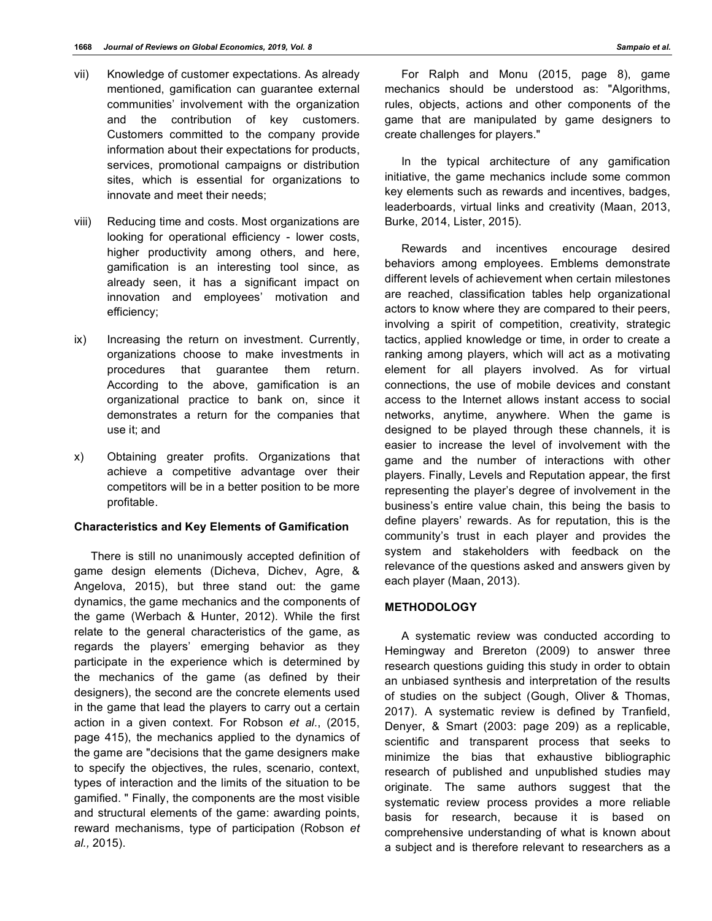- vii) Knowledge of customer expectations. As already mentioned, gamification can guarantee external communities' involvement with the organization and the contribution of key customers. Customers committed to the company provide information about their expectations for products, services, promotional campaigns or distribution sites, which is essential for organizations to innovate and meet their needs;
- viii) Reducing time and costs. Most organizations are looking for operational efficiency - lower costs, higher productivity among others, and here, gamification is an interesting tool since, as already seen, it has a significant impact on innovation and employees' motivation and efficiency;
- ix) Increasing the return on investment. Currently, organizations choose to make investments in procedures that guarantee them return. According to the above, gamification is an organizational practice to bank on, since it demonstrates a return for the companies that use it; and
- x) Obtaining greater profits. Organizations that achieve a competitive advantage over their competitors will be in a better position to be more profitable.

## **Characteristics and Key Elements of Gamification**

There is still no unanimously accepted definition of game design elements (Dicheva, Dichev, Agre, & Angelova, 2015), but three stand out: the game dynamics, the game mechanics and the components of the game (Werbach & Hunter, 2012). While the first relate to the general characteristics of the game, as regards the players' emerging behavior as they participate in the experience which is determined by the mechanics of the game (as defined by their designers), the second are the concrete elements used in the game that lead the players to carry out a certain action in a given context. For Robson *et al*., (2015, page 415), the mechanics applied to the dynamics of the game are "decisions that the game designers make to specify the objectives, the rules, scenario, context, types of interaction and the limits of the situation to be gamified. " Finally, the components are the most visible and structural elements of the game: awarding points, reward mechanisms, type of participation (Robson *et al.,* 2015).

For Ralph and Monu (2015, page 8), game mechanics should be understood as: "Algorithms, rules, objects, actions and other components of the game that are manipulated by game designers to create challenges for players."

In the typical architecture of any gamification initiative, the game mechanics include some common key elements such as rewards and incentives, badges, leaderboards, virtual links and creativity (Maan, 2013, Burke, 2014, Lister, 2015).

Rewards and incentives encourage desired behaviors among employees. Emblems demonstrate different levels of achievement when certain milestones are reached, classification tables help organizational actors to know where they are compared to their peers, involving a spirit of competition, creativity, strategic tactics, applied knowledge or time, in order to create a ranking among players, which will act as a motivating element for all players involved. As for virtual connections, the use of mobile devices and constant access to the Internet allows instant access to social networks, anytime, anywhere. When the game is designed to be played through these channels, it is easier to increase the level of involvement with the game and the number of interactions with other players. Finally, Levels and Reputation appear, the first representing the player's degree of involvement in the business's entire value chain, this being the basis to define players' rewards. As for reputation, this is the community's trust in each player and provides the system and stakeholders with feedback on the relevance of the questions asked and answers given by each player (Maan, 2013).

# **METHODOLOGY**

A systematic review was conducted according to Hemingway and Brereton (2009) to answer three research questions guiding this study in order to obtain an unbiased synthesis and interpretation of the results of studies on the subject (Gough, Oliver & Thomas, 2017). A systematic review is defined by Tranfield, Denyer, & Smart (2003: page 209) as a replicable, scientific and transparent process that seeks to minimize the bias that exhaustive bibliographic research of published and unpublished studies may originate. The same authors suggest that the systematic review process provides a more reliable basis for research, because it is based on comprehensive understanding of what is known about a subject and is therefore relevant to researchers as a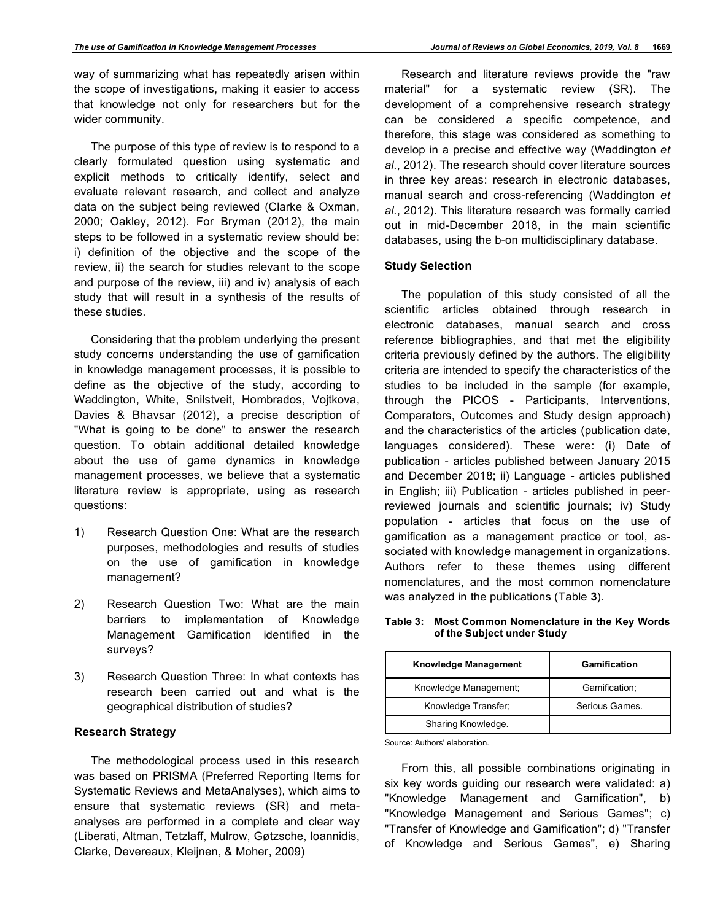way of summarizing what has repeatedly arisen within the scope of investigations, making it easier to access that knowledge not only for researchers but for the wider community.

The purpose of this type of review is to respond to a clearly formulated question using systematic and explicit methods to critically identify, select and evaluate relevant research, and collect and analyze data on the subject being reviewed (Clarke & Oxman, 2000; Oakley, 2012). For Bryman (2012), the main steps to be followed in a systematic review should be: i) definition of the objective and the scope of the review, ii) the search for studies relevant to the scope and purpose of the review, iii) and iv) analysis of each study that will result in a synthesis of the results of these studies.

Considering that the problem underlying the present study concerns understanding the use of gamification in knowledge management processes, it is possible to define as the objective of the study, according to Waddington, White, Snilstveit, Hombrados, Vojtkova, Davies & Bhavsar (2012), a precise description of "What is going to be done" to answer the research question. To obtain additional detailed knowledge about the use of game dynamics in knowledge management processes, we believe that a systematic literature review is appropriate, using as research questions:

- 1) Research Question One: What are the research purposes, methodologies and results of studies on the use of gamification in knowledge management?
- 2) Research Question Two: What are the main barriers to implementation of Knowledge Management Gamification identified in the surveys?
- 3) Research Question Three: In what contexts has research been carried out and what is the geographical distribution of studies?

## **Research Strategy**

The methodological process used in this research was based on PRISMA (Preferred Reporting Items for Systematic Reviews and MetaAnalyses), which aims to ensure that systematic reviews (SR) and metaanalyses are performed in a complete and clear way (Liberati, Altman, Tetzlaff, Mulrow, Gøtzsche, Ioannidis, Clarke, Devereaux, Kleijnen, & Moher, 2009)

Research and literature reviews provide the "raw material" for a systematic review (SR). The development of a comprehensive research strategy can be considered a specific competence, and therefore, this stage was considered as something to develop in a precise and effective way (Waddington *et al*., 2012). The research should cover literature sources in three key areas: research in electronic databases, manual search and cross-referencing (Waddington *et al*., 2012). This literature research was formally carried out in mid-December 2018, in the main scientific databases, using the b-on multidisciplinary database.

#### **Study Selection**

The population of this study consisted of all the scientific articles obtained through research in electronic databases, manual search and cross reference bibliographies, and that met the eligibility criteria previously defined by the authors. The eligibility criteria are intended to specify the characteristics of the studies to be included in the sample (for example, through the PICOS - Participants, Interventions, Comparators, Outcomes and Study design approach) and the characteristics of the articles (publication date, languages considered). These were: (i) Date of publication - articles published between January 2015 and December 2018; ii) Language - articles published in English; iii) Publication - articles published in peerreviewed journals and scientific journals; iv) Study population - articles that focus on the use of gamification as a management practice or tool, associated with knowledge management in organizations. Authors refer to these themes using different nomenclatures, and the most common nomenclature was analyzed in the publications (Table **3**).

**Table 3: Most Common Nomenclature in the Key Words of the Subject under Study**

| Knowledge Management  | Gamification   |
|-----------------------|----------------|
| Knowledge Management; | Gamification:  |
| Knowledge Transfer;   | Serious Games. |
| Sharing Knowledge.    |                |

Source: Authors' elaboration.

From this, all possible combinations originating in six key words guiding our research were validated: a) "Knowledge Management and Gamification", b) "Knowledge Management and Serious Games"; c) "Transfer of Knowledge and Gamification"; d) "Transfer of Knowledge and Serious Games", e) Sharing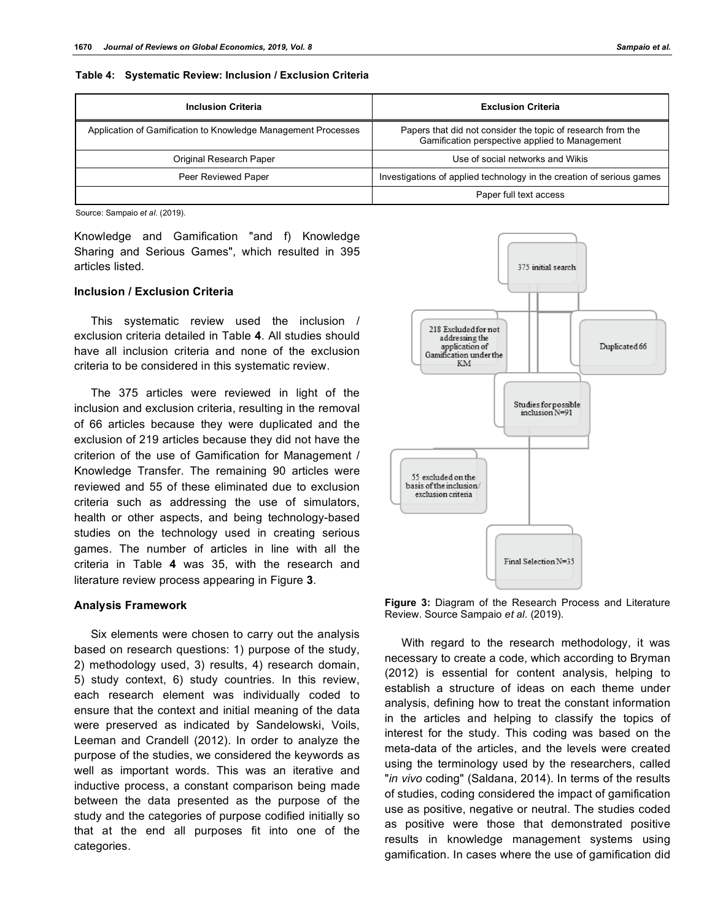#### **Table 4: Systematic Review: Inclusion / Exclusion Criteria**

| <b>Inclusion Criteria</b>                                     | <b>Exclusion Criteria</b>                                                                                     |  |
|---------------------------------------------------------------|---------------------------------------------------------------------------------------------------------------|--|
| Application of Gamification to Knowledge Management Processes | Papers that did not consider the topic of research from the<br>Gamification perspective applied to Management |  |
| Original Research Paper                                       | Use of social networks and Wikis                                                                              |  |
| Peer Reviewed Paper                                           | Investigations of applied technology in the creation of serious games                                         |  |
|                                                               | Paper full text access                                                                                        |  |

Source: Sampaio *et al*. (2019).

Knowledge and Gamification "and f) Knowledge Sharing and Serious Games", which resulted in 395 articles listed.

#### **Inclusion / Exclusion Criteria**

This systematic review used the inclusion / exclusion criteria detailed in Table **4**. All studies should have all inclusion criteria and none of the exclusion criteria to be considered in this systematic review.

The 375 articles were reviewed in light of the inclusion and exclusion criteria, resulting in the removal of 66 articles because they were duplicated and the exclusion of 219 articles because they did not have the criterion of the use of Gamification for Management / Knowledge Transfer. The remaining 90 articles were reviewed and 55 of these eliminated due to exclusion criteria such as addressing the use of simulators, health or other aspects, and being technology-based studies on the technology used in creating serious games. The number of articles in line with all the criteria in Table **4** was 35, with the research and literature review process appearing in Figure **3**.

#### **Analysis Framework**

Six elements were chosen to carry out the analysis based on research questions: 1) purpose of the study, 2) methodology used, 3) results, 4) research domain, 5) study context, 6) study countries. In this review, each research element was individually coded to ensure that the context and initial meaning of the data were preserved as indicated by Sandelowski, Voils, Leeman and Crandell (2012). In order to analyze the purpose of the studies, we considered the keywords as well as important words. This was an iterative and inductive process, a constant comparison being made between the data presented as the purpose of the study and the categories of purpose codified initially so that at the end all purposes fit into one of the categories.



**Figure 3:** Diagram of the Research Process and Literature Review. Source Sampaio *et al.* (2019).

With regard to the research methodology, it was necessary to create a code, which according to Bryman (2012) is essential for content analysis, helping to establish a structure of ideas on each theme under analysis, defining how to treat the constant information in the articles and helping to classify the topics of interest for the study. This coding was based on the meta-data of the articles, and the levels were created using the terminology used by the researchers, called "*in vivo* coding" (Saldana, 2014). In terms of the results of studies, coding considered the impact of gamification use as positive, negative or neutral. The studies coded as positive were those that demonstrated positive results in knowledge management systems using gamification. In cases where the use of gamification did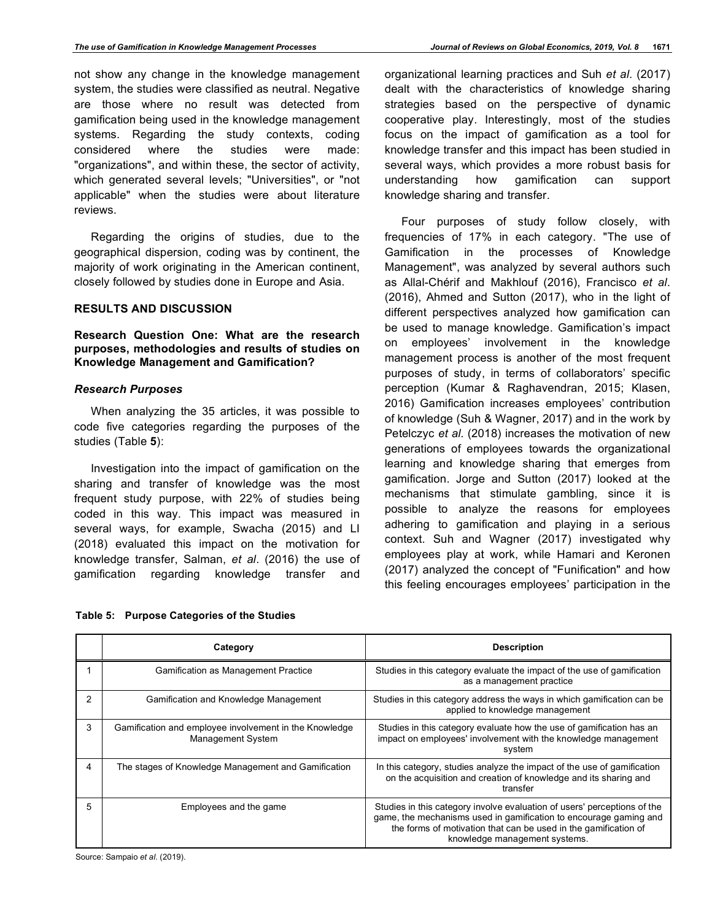not show any change in the knowledge management system, the studies were classified as neutral. Negative are those where no result was detected from gamification being used in the knowledge management systems. Regarding the study contexts, coding considered where the studies were made: "organizations", and within these, the sector of activity, which generated several levels; "Universities", or "not applicable" when the studies were about literature reviews.

Regarding the origins of studies, due to the geographical dispersion, coding was by continent, the majority of work originating in the American continent, closely followed by studies done in Europe and Asia.

# **RESULTS AND DISCUSSION**

# **Research Question One: What are the research purposes, methodologies and results of studies on Knowledge Management and Gamification?**

# *Research Purposes*

When analyzing the 35 articles, it was possible to code five categories regarding the purposes of the studies (Table **5**):

Investigation into the impact of gamification on the sharing and transfer of knowledge was the most frequent study purpose, with 22% of studies being coded in this way. This impact was measured in several ways, for example, Swacha (2015) and LI (2018) evaluated this impact on the motivation for knowledge transfer, Salman, *et al*. (2016) the use of gamification regarding knowledge transfer and

| organizational learning practices and Suh et al. (2017) |  |  |  |
|---------------------------------------------------------|--|--|--|
| dealt with the characteristics of knowledge sharing     |  |  |  |
| strategies based on the perspective of dynamic          |  |  |  |
| cooperative play. Interestingly, most of the studies    |  |  |  |
| focus on the impact of gamification as a tool for       |  |  |  |
| knowledge transfer and this impact has been studied in  |  |  |  |
| several ways, which provides a more robust basis for    |  |  |  |
| understanding how gamification can support              |  |  |  |
| knowledge sharing and transfer.                         |  |  |  |

Four purposes of study follow closely, with frequencies of 17% in each category. "The use of Gamification in the processes of Knowledge Management", was analyzed by several authors such as Allal-Chérif and Makhlouf (2016), Francisco *et al*. (2016), Ahmed and Sutton (2017), who in the light of different perspectives analyzed how gamification can be used to manage knowledge. Gamification's impact on employees' involvement in the knowledge management process is another of the most frequent purposes of study, in terms of collaborators' specific perception (Kumar & Raghavendran, 2015; Klasen, 2016) Gamification increases employees' contribution of knowledge (Suh & Wagner, 2017) and in the work by Petelczyc *et al*. (2018) increases the motivation of new generations of employees towards the organizational learning and knowledge sharing that emerges from gamification. Jorge and Sutton (2017) looked at the mechanisms that stimulate gambling, since it is possible to analyze the reasons for employees adhering to gamification and playing in a serious context. Suh and Wagner (2017) investigated why employees play at work, while Hamari and Keronen (2017) analyzed the concept of "Funification" and how this feeling encourages employees' participation in the

|   | Category                                                                           | <b>Description</b>                                                                                                                                                                                                                                |
|---|------------------------------------------------------------------------------------|---------------------------------------------------------------------------------------------------------------------------------------------------------------------------------------------------------------------------------------------------|
|   | <b>Gamification as Management Practice</b>                                         | Studies in this category evaluate the impact of the use of gamification<br>as a management practice                                                                                                                                               |
| 2 | Gamification and Knowledge Management                                              | Studies in this category address the ways in which gamification can be<br>applied to knowledge management                                                                                                                                         |
| 3 | Gamification and employee involvement in the Knowledge<br><b>Management System</b> | Studies in this category evaluate how the use of gamification has an<br>impact on employees' involvement with the knowledge management<br>system                                                                                                  |
| 4 | The stages of Knowledge Management and Gamification                                | In this category, studies analyze the impact of the use of gamification<br>on the acquisition and creation of knowledge and its sharing and<br>transfer                                                                                           |
| 5 | Employees and the game                                                             | Studies in this category involve evaluation of users' perceptions of the<br>game, the mechanisms used in gamification to encourage gaming and<br>the forms of motivation that can be used in the gamification of<br>knowledge management systems. |

# **Table 5: Purpose Categories of the Studies**

Source: Sampaio *et al*. (2019).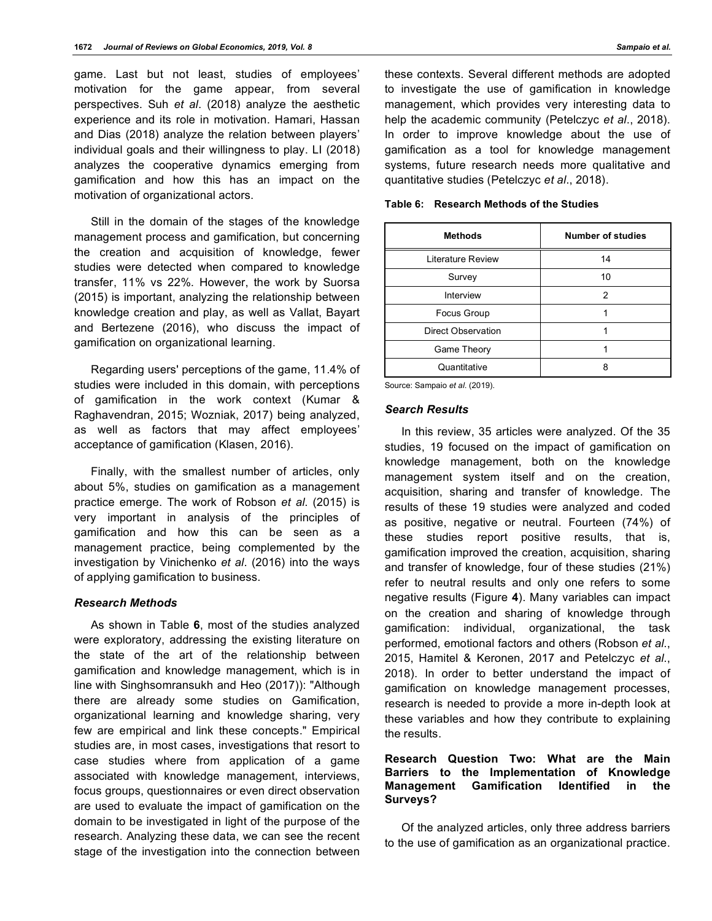game. Last but not least, studies of employees' motivation for the game appear, from several perspectives. Suh *et al*. (2018) analyze the aesthetic experience and its role in motivation. Hamari, Hassan and Dias (2018) analyze the relation between players' individual goals and their willingness to play. LI (2018) analyzes the cooperative dynamics emerging from gamification and how this has an impact on the motivation of organizational actors.

Still in the domain of the stages of the knowledge management process and gamification, but concerning the creation and acquisition of knowledge, fewer studies were detected when compared to knowledge transfer, 11% vs 22%. However, the work by Suorsa (2015) is important, analyzing the relationship between knowledge creation and play, as well as Vallat, Bayart and Bertezene (2016), who discuss the impact of gamification on organizational learning.

Regarding users' perceptions of the game, 11.4% of studies were included in this domain, with perceptions of gamification in the work context (Kumar & Raghavendran, 2015; Wozniak, 2017) being analyzed, as well as factors that may affect employees' acceptance of gamification (Klasen, 2016).

Finally, with the smallest number of articles, only about 5%, studies on gamification as a management practice emerge. The work of Robson *et al*. (2015) is very important in analysis of the principles of gamification and how this can be seen as a management practice, being complemented by the investigation by Vinichenko *et al*. (2016) into the ways of applying gamification to business.

# *Research Methods*

As shown in Table **6**, most of the studies analyzed were exploratory, addressing the existing literature on the state of the art of the relationship between gamification and knowledge management, which is in line with Singhsomransukh and Heo (2017)): "Although there are already some studies on Gamification, organizational learning and knowledge sharing, very few are empirical and link these concepts." Empirical studies are, in most cases, investigations that resort to case studies where from application of a game associated with knowledge management, interviews, focus groups, questionnaires or even direct observation are used to evaluate the impact of gamification on the domain to be investigated in light of the purpose of the research. Analyzing these data, we can see the recent stage of the investigation into the connection between

these contexts. Several different methods are adopted to investigate the use of gamification in knowledge management, which provides very interesting data to help the academic community (Petelczyc *et al*., 2018). In order to improve knowledge about the use of gamification as a tool for knowledge management systems, future research needs more qualitative and quantitative studies (Petelczyc *et al*., 2018).

|  | Table 6: Research Methods of the Studies |  |  |  |
|--|------------------------------------------|--|--|--|
|--|------------------------------------------|--|--|--|

| <b>Methods</b>     | <b>Number of studies</b> |  |
|--------------------|--------------------------|--|
| Literature Review  | 14                       |  |
| Survey             | 10                       |  |
| Interview          | 2                        |  |
| Focus Group        |                          |  |
| Direct Observation |                          |  |
| Game Theory        |                          |  |
| Quantitative       | 8                        |  |

Source: Sampaio *et al*. (2019).

#### *Search Results*

In this review, 35 articles were analyzed. Of the 35 studies, 19 focused on the impact of gamification on knowledge management, both on the knowledge management system itself and on the creation, acquisition, sharing and transfer of knowledge. The results of these 19 studies were analyzed and coded as positive, negative or neutral. Fourteen (74%) of these studies report positive results, that is, gamification improved the creation, acquisition, sharing and transfer of knowledge, four of these studies (21%) refer to neutral results and only one refers to some negative results (Figure **4**). Many variables can impact on the creation and sharing of knowledge through gamification: individual, organizational, the task performed, emotional factors and others (Robson *et al*., 2015, Hamitel & Keronen, 2017 and Petelczyc *et al*., 2018). In order to better understand the impact of gamification on knowledge management processes, research is needed to provide a more in-depth look at these variables and how they contribute to explaining the results.

# **Research Question Two: What are the Main Barriers to the Implementation of Knowledge Management Gamification Identified in the Surveys?**

Of the analyzed articles, only three address barriers to the use of gamification as an organizational practice.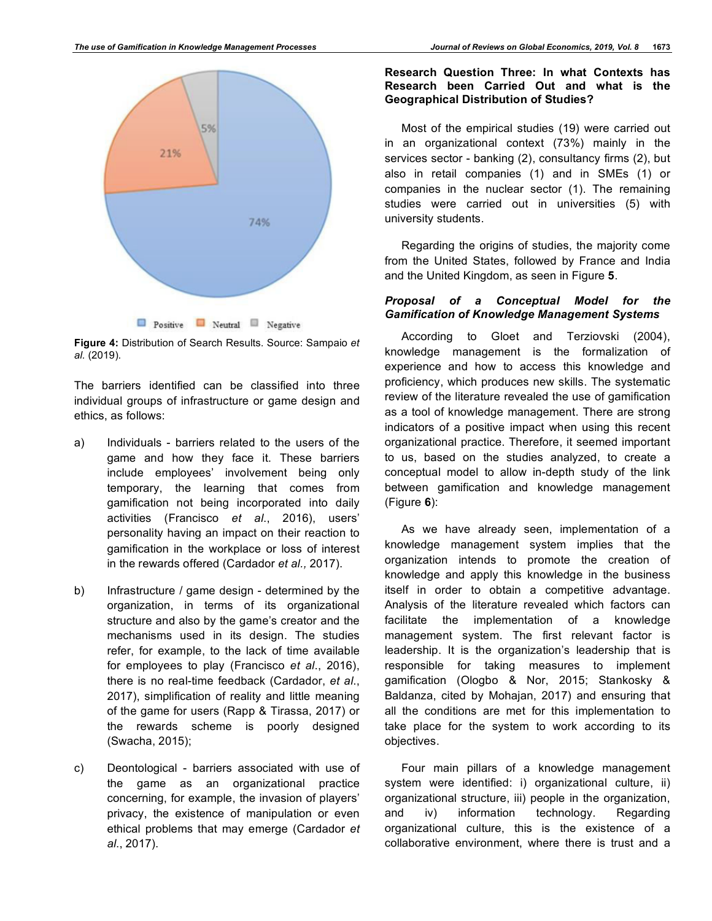

**Figure 4:** Distribution of Search Results. Source: Sampaio *et al.* (2019).

The barriers identified can be classified into three individual groups of infrastructure or game design and ethics, as follows:

- a) Individuals barriers related to the users of the game and how they face it. These barriers include employees' involvement being only temporary, the learning that comes from gamification not being incorporated into daily activities (Francisco *et al*., 2016), users' personality having an impact on their reaction to gamification in the workplace or loss of interest in the rewards offered (Cardador *et al.,* 2017).
- b) Infrastructure / game design determined by the organization, in terms of its organizational structure and also by the game's creator and the mechanisms used in its design. The studies refer, for example, to the lack of time available for employees to play (Francisco *et al*., 2016), there is no real-time feedback (Cardador, *et al*., 2017), simplification of reality and little meaning of the game for users (Rapp & Tirassa, 2017) or the rewards scheme is poorly designed (Swacha, 2015);
- c) Deontological barriers associated with use of the game as an organizational practice concerning, for example, the invasion of players' privacy, the existence of manipulation or even ethical problems that may emerge (Cardador *et al*., 2017).

## **Research Question Three: In what Contexts has Research been Carried Out and what is the Geographical Distribution of Studies?**

Most of the empirical studies (19) were carried out in an organizational context (73%) mainly in the services sector - banking (2), consultancy firms (2), but also in retail companies (1) and in SMEs (1) or companies in the nuclear sector (1). The remaining studies were carried out in universities (5) with university students.

Regarding the origins of studies, the majority come from the United States, followed by France and India and the United Kingdom, as seen in Figure **5**.

# *Proposal of a Conceptual Model for the Gamification of Knowledge Management Systems*

According to Gloet and Terziovski (2004), knowledge management is the formalization of experience and how to access this knowledge and proficiency, which produces new skills. The systematic review of the literature revealed the use of gamification as a tool of knowledge management. There are strong indicators of a positive impact when using this recent organizational practice. Therefore, it seemed important to us, based on the studies analyzed, to create a conceptual model to allow in-depth study of the link between gamification and knowledge management (Figure **6**):

As we have already seen, implementation of a knowledge management system implies that the organization intends to promote the creation of knowledge and apply this knowledge in the business itself in order to obtain a competitive advantage. Analysis of the literature revealed which factors can facilitate the implementation of a knowledge management system. The first relevant factor is leadership. It is the organization's leadership that is responsible for taking measures to implement gamification (Ologbo & Nor, 2015; Stankosky & Baldanza, cited by Mohajan, 2017) and ensuring that all the conditions are met for this implementation to take place for the system to work according to its objectives.

Four main pillars of a knowledge management system were identified: i) organizational culture, ii) organizational structure, iii) people in the organization, and iv) information technology. Regarding organizational culture, this is the existence of a collaborative environment, where there is trust and a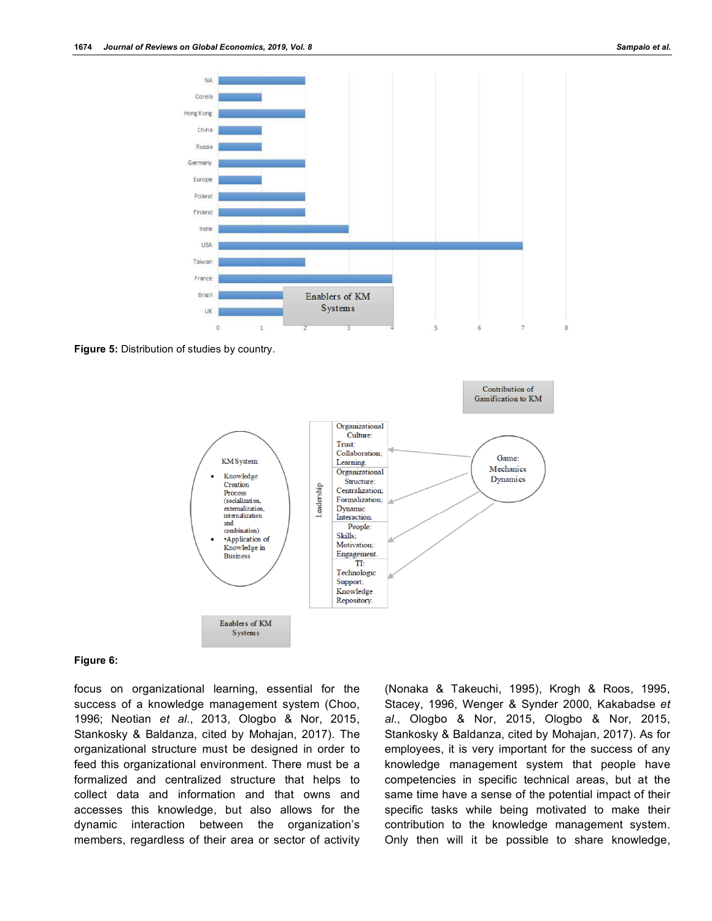

**Figure 5:** Distribution of studies by country.



#### **Figure 6:**

focus on organizational learning, essential for the success of a knowledge management system (Choo, 1996; Neotian *et al*., 2013, Ologbo & Nor, 2015, Stankosky & Baldanza, cited by Mohajan, 2017). The organizational structure must be designed in order to feed this organizational environment. There must be a formalized and centralized structure that helps to collect data and information and that owns and accesses this knowledge, but also allows for the dynamic interaction between the organization's members, regardless of their area or sector of activity (Nonaka & Takeuchi, 1995), Krogh & Roos, 1995, Stacey, 1996, Wenger & Synder 2000, Kakabadse *et al*., Ologbo & Nor, 2015, Ologbo & Nor, 2015, Stankosky & Baldanza, cited by Mohajan, 2017). As for employees, it is very important for the success of any knowledge management system that people have competencies in specific technical areas, but at the same time have a sense of the potential impact of their specific tasks while being motivated to make their contribution to the knowledge management system. Only then will it be possible to share knowledge,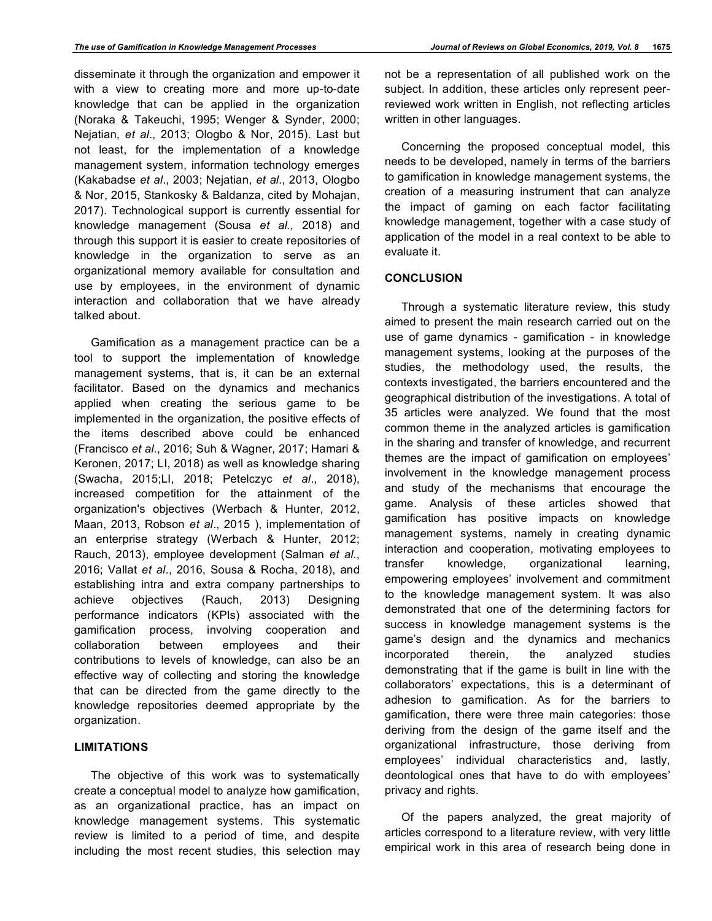disseminate it through the organization and empower it with a view to creating more and more up-to-date knowledge that can be applied in the organization (Noraka & Takeuchi, 1995; Wenger & Synder, 2000; Nejatian, *et al*., 2013; Ologbo & Nor, 2015). Last but not least, for the implementation of a knowledge management system, information technology emerges (Kakabadse *et al*., 2003; Nejatian, *et al*., 2013, Ologbo & Nor, 2015, Stankosky & Baldanza, cited by Mohajan, 2017). Technological support is currently essential for knowledge management (Sousa *et al.,* 2018) and through this support it is easier to create repositories of knowledge in the organization to serve as an organizational memory available for consultation and use by employees, in the environment of dynamic interaction and collaboration that we have already talked about.

Gamification as a management practice can be a tool to support the implementation of knowledge management systems, that is, it can be an external facilitator. Based on the dynamics and mechanics applied when creating the serious game to be implemented in the organization, the positive effects of the items described above could be enhanced (Francisco *et al*., 2016; Suh & Wagner, 2017; Hamari & Keronen, 2017; LI, 2018) as well as knowledge sharing (Swacha, 2015;LI, 2018; Petelczyc *et al*., 2018), increased competition for the attainment of the organization's objectives (Werbach & Hunter, 2012, Maan, 2013, Robson *et al*., 2015 ), implementation of an enterprise strategy (Werbach & Hunter, 2012; Rauch, 2013), employee development (Salman *et al*., 2016; Vallat *et al*., 2016, Sousa & Rocha, 2018), and establishing intra and extra company partnerships to achieve objectives (Rauch, 2013) Designing performance indicators (KPIs) associated with the gamification process, involving cooperation and collaboration between employees and their contributions to levels of knowledge, can also be an effective way of collecting and storing the knowledge that can be directed from the game directly to the knowledge repositories deemed appropriate by the organization.

# **LIMITATIONS**

The objective of this work was to systematically create a conceptual model to analyze how gamification, as an organizational practice, has an impact on knowledge management systems. This systematic review is limited to a period of time, and despite including the most recent studies, this selection may not be a representation of all published work on the subject. In addition, these articles only represent peerreviewed work written in English, not reflecting articles written in other languages.

Concerning the proposed conceptual model, this needs to be developed, namely in terms of the barriers to gamification in knowledge management systems, the creation of a measuring instrument that can analyze the impact of gaming on each factor facilitating knowledge management, together with a case study of application of the model in a real context to be able to evaluate it.

## **CONCLUSION**

Through a systematic literature review, this study aimed to present the main research carried out on the use of game dynamics - gamification - in knowledge management systems, looking at the purposes of the studies, the methodology used, the results, the contexts investigated, the barriers encountered and the geographical distribution of the investigations. A total of 35 articles were analyzed. We found that the most common theme in the analyzed articles is gamification in the sharing and transfer of knowledge, and recurrent themes are the impact of gamification on employees' involvement in the knowledge management process and study of the mechanisms that encourage the game. Analysis of these articles showed that gamification has positive impacts on knowledge management systems, namely in creating dynamic interaction and cooperation, motivating employees to transfer knowledge, organizational learning, empowering employees' involvement and commitment to the knowledge management system. It was also demonstrated that one of the determining factors for success in knowledge management systems is the game's design and the dynamics and mechanics incorporated therein, the analyzed studies demonstrating that if the game is built in line with the collaborators' expectations, this is a determinant of adhesion to gamification. As for the barriers to gamification, there were three main categories: those deriving from the design of the game itself and the organizational infrastructure, those deriving from employees' individual characteristics and, lastly, deontological ones that have to do with employees' privacy and rights.

Of the papers analyzed, the great majority of articles correspond to a literature review, with very little empirical work in this area of research being done in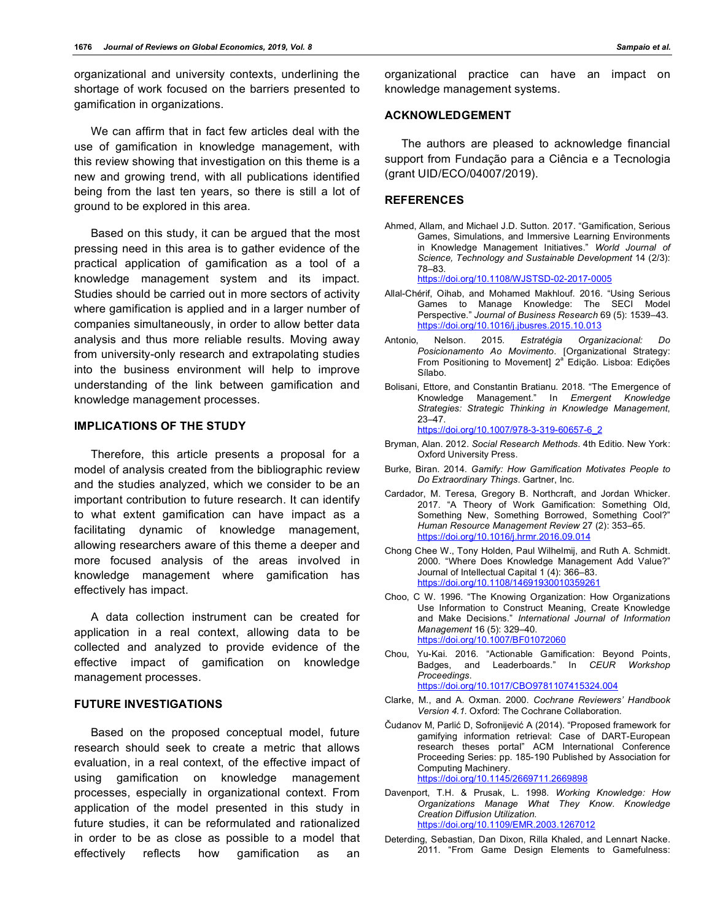organizational and university contexts, underlining the shortage of work focused on the barriers presented to gamification in organizations.

We can affirm that in fact few articles deal with the use of gamification in knowledge management, with this review showing that investigation on this theme is a new and growing trend, with all publications identified being from the last ten years, so there is still a lot of ground to be explored in this area.

Based on this study, it can be argued that the most pressing need in this area is to gather evidence of the practical application of gamification as a tool of a knowledge management system and its impact. Studies should be carried out in more sectors of activity where gamification is applied and in a larger number of companies simultaneously, in order to allow better data analysis and thus more reliable results. Moving away from university-only research and extrapolating studies into the business environment will help to improve understanding of the link between gamification and knowledge management processes.

# **IMPLICATIONS OF THE STUDY**

Therefore, this article presents a proposal for a model of analysis created from the bibliographic review and the studies analyzed, which we consider to be an important contribution to future research. It can identify to what extent gamification can have impact as a facilitating dynamic of knowledge management, allowing researchers aware of this theme a deeper and more focused analysis of the areas involved in knowledge management where gamification has effectively has impact.

A data collection instrument can be created for application in a real context, allowing data to be collected and analyzed to provide evidence of the effective impact of gamification on knowledge management processes.

#### **FUTURE INVESTIGATIONS**

Based on the proposed conceptual model, future research should seek to create a metric that allows evaluation, in a real context, of the effective impact of using gamification on knowledge management processes, especially in organizational context. From application of the model presented in this study in future studies, it can be reformulated and rationalized in order to be as close as possible to a model that effectively reflects how gamification as an

organizational practice can have an impact on knowledge management systems.

# **ACKNOWLEDGEMENT**

The authors are pleased to acknowledge financial support from Fundação para a Ciência e a Tecnologia (grant UID/ECO/04007/2019).

#### **REFERENCES**

Ahmed, Allam, and Michael J.D. Sutton. 2017. "Gamification, Serious Games, Simulations, and Immersive Learning Environments in Knowledge Management Initiatives." *World Journal of Science, Technology and Sustainable Development* 14 (2/3): 78–83.

https://doi.org/10.1108/WJSTSD-02-2017-0005

- Allal-Chérif, Oihab, and Mohamed Makhlouf. 2016. "Using Serious Games to Manage Knowledge: The SECI Model Perspective." *Journal of Business Research* 69 (5): 1539–43. https://doi.org/10.1016/j.jbusres.2015.10.013
- Antonio, Nelson. 2015. *Estratégia Organizacional: Do Posicionamento Ao Movimento*. [Organizational Strategy:<br>From Positioning to Movement] 2ª Edição. Lisboa: Edições Sílabo.
- Bolisani, Ettore, and Constantin Bratianu. 2018. "The Emergence of Knowledge Management." In *Emergent Knowledge Strategies: Strategic Thinking in Knowledge Management*, 23–47.

https://doi.org/10.1007/978-3-319-60657-6\_2

- Bryman, Alan. 2012. *Social Research Methods*. 4th Editio. New York: Oxford University Press.
- Burke, Biran. 2014. *Gamify: How Gamification Motivates People to Do Extraordinary Things*. Gartner, Inc.
- Cardador, M. Teresa, Gregory B. Northcraft, and Jordan Whicker. 2017. "A Theory of Work Gamification: Something Old, Something New, Something Borrowed, Something Cool?" *Human Resource Management Review* 27 (2): 353–65. https://doi.org/10.1016/j.hrmr.2016.09.014
- Chong Chee W., Tony Holden, Paul Wilhelmij, and Ruth A. Schmidt. 2000. "Where Does Knowledge Management Add Value?" Journal of Intellectual Capital 1 (4): 366-83. https://doi.org/10.1108/14691930010359261
- Choo, C W. 1996. "The Knowing Organization: How Organizations Use Information to Construct Meaning, Create Knowledge and Make Decisions." *International Journal of Information Management* 16 (5): 329–40. https://doi.org/10.1007/BF01072060
- Chou, Yu-Kai. 2016. "Actionable Gamification: Beyond Points, Badges, and Leaderboards." In *CEUR Workshop Proceedings*. https://doi.org/10.1017/CBO9781107415324.004
- Clarke, M., and A. Oxman. 2000. *Cochrane Reviewers' Handbook Version 4.1.* Oxford: The Cochrane Collaboration.
- Čudanov M, Parlić D, Sofronijević A (2014). "Proposed framework for gamifying information retrieval: Case of DART-European research theses portal" ACM International Conference Proceeding Series: pp. 185-190 Published by Association for Computing Machinery. https://doi.org/10.1145/2669711.2669898
- Davenport, T.H. & Prusak, L. 1998. *Working Knowledge: How Organizations Manage What They Know*. *Knowledge Creation Diffusion Utilization*. https://doi.org/10.1109/EMR.2003.1267012
- Deterding, Sebastian, Dan Dixon, Rilla Khaled, and Lennart Nacke. 2011. "From Game Design Elements to Gamefulness: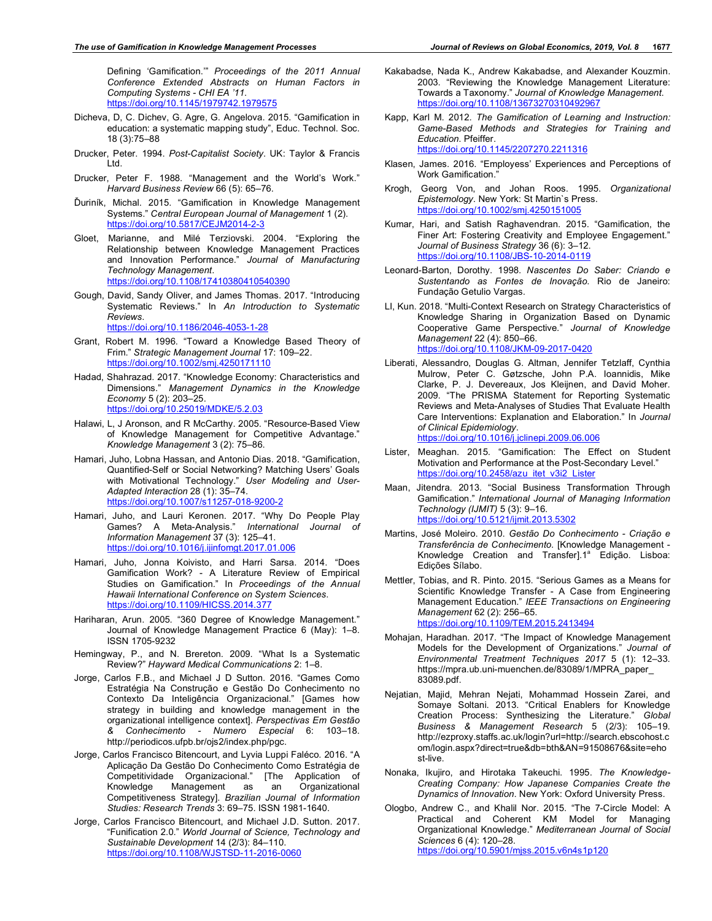Defining 'Gamification.'" *Proceedings of the 2011 Annual Conference Extended Abstracts on Human Factors in Computing Systems - CHI EA '11*. https://doi.org/10.1145/1979742.1979575

- Dicheva, D, C. Dichev, G. Agre, G. Angelova. 2015. "Gamification in education: a systematic mapping study", Educ. Technol. Soc. 18 (3):75–88
- Drucker, Peter. 1994. *Post-Capitalist Society*. UK: Taylor & Francis Ltd.
- Drucker, Peter F. 1988. "Management and the World's Work." *Harvard Business Review* 66 (5): 65–76.
- Ďuriník, Michal. 2015. "Gamification in Knowledge Management Systems." *Central European Journal of Management* 1 (2). https://doi.org/10.5817/CEJM2014-2-3
- Gloet, Marianne, and Milé Terziovski. 2004. "Exploring the Relationship between Knowledge Management Practices and Innovation Performance." *Journal of Manufacturing Technology Management*. https://doi.org/10.1108/17410380410540390
- Gough, David, Sandy Oliver, and James Thomas. 2017. "Introducing Systematic Reviews." In *An Introduction to Systematic Reviews*. https://doi.org/10.1186/2046-4053-1-28
- Grant, Robert M. 1996. "Toward a Knowledge Based Theory of
- Frim." *Strategic Management Journal* 17: 109–22. https://doi.org/10.1002/smj.4250171110 Hadad, Shahrazad. 2017. "Knowledge Economy: Characteristics and
- Dimensions." *Management Dynamics in the Knowledge Economy* 5 (2): 203–25. https://doi.org/10.25019/MDKE/5.2.03
- Halawi, L, J Aronson, and R McCarthy. 2005. "Resource-Based View of Knowledge Management for Competitive Advantage." *Knowledge Management* 3 (2): 75–86.
- Hamari, Juho, Lobna Hassan, and Antonio Dias. 2018. "Gamification, Quantified-Self or Social Networking? Matching Users' Goals with Motivational Technology." *User Modeling and User-Adapted Interaction* 28 (1): 35–74. https://doi.org/10.1007/s11257-018-9200-2
- Hamari, Juho, and Lauri Keronen. 2017. "Why Do People Play Games? A Meta-Analysis." *International Journal of Information Management* 37 (3): 125–41. https://doi.org/10.1016/j.ijinfomgt.2017.01.006
- Hamari, Juho, Jonna Koivisto, and Harri Sarsa. 2014. "Does Gamification Work? - A Literature Review of Empirical Studies on Gamification." In *Proceedings of the Annual Hawaii International Conference on System Sciences*. https://doi.org/10.1109/HICSS.2014.377
- Hariharan, Arun. 2005. "360 Degree of Knowledge Management." Journal of Knowledge Management Practice 6 (May): 1–8. ISSN 1705-9232
- Hemingway, P., and N. Brereton. 2009. "What Is a Systematic Review?" *Hayward Medical Communications* 2: 1–8.
- Jorge, Carlos F.B., and Michael J D Sutton. 2016. "Games Como Estratégia Na Construção e Gestão Do Conhecimento no Contexto Da Inteligência Organizacional." [Games how strategy in building and knowledge management in the organizational intelligence context]. *Perspectivas Em Gestão & Conhecimento - Numero Especial* 6: 103–18. http://periodicos.ufpb.br/ojs2/index.php/pgc.
- Jorge, Carlos Francisco Bitencourt, and Lyvia Luppi Faléco. 2016. "A Aplicação Da Gestão Do Conhecimento Como Estratégia de Competitividade Organizacional." [The Application of Knowledge Management as an Organizational Competitiveness Strategy]. *Brazilian Journal of Information Studies: Research Trends* 3: 69–75. ISSN 1981-1640.
- Jorge, Carlos Francisco Bitencourt, and Michael J.D. Sutton. 2017. "Funification 2.0." *World Journal of Science, Technology and Sustainable Development* 14 (2/3): 84–110. https://doi.org/10.1108/WJSTSD-11-2016-0060
- Kakabadse, Nada K., Andrew Kakabadse, and Alexander Kouzmin. 2003. "Reviewing the Knowledge Management Literature: Towards a Taxonomy." *Journal of Knowledge Management*. https://doi.org/10.1108/13673270310492967
- Kapp, Karl M. 2012. *The Gamification of Learning and Instruction: Game-Based Methods and Strategies for Training and Education*. Pfeiffer. https://doi.org/10.1145/2207270.2211316
- Klasen, James. 2016. "Employess' Experiences and Perceptions of Work Gamification."
- Krogh, Georg Von, and Johan Roos. 1995. *Organizational Epistemology*. New York: St Martin`s Press. https://doi.org/10.1002/smj.4250151005
- Kumar, Hari, and Satish Raghavendran. 2015. "Gamification, the Finer Art: Fostering Creativity and Employee Engagement." *Journal of Business Strategy* 36 (6): 3–12. https://doi.org/10.1108/JBS-10-2014-0119
- Leonard-Barton, Dorothy. 1998. *Nascentes Do Saber: Criando e Sustentando as Fontes de Inovação*. Rio de Janeiro: Fundação Getulio Vargas.
- LI, Kun. 2018. "Multi-Context Research on Strategy Characteristics of Knowledge Sharing in Organization Based on Dynamic Cooperative Game Perspective." *Journal of Knowledge Management* 22 (4): 850–66. https://doi.org/10.1108/JKM-09-2017-0420
- Liberati, Alessandro, Douglas G. Altman, Jennifer Tetzlaff, Cynthia Mulrow, Peter C. Gøtzsche, John P.A. Ioannidis, Mike Clarke, P. J. Devereaux, Jos Kleijnen, and David Moher. 2009. "The PRISMA Statement for Reporting Systematic Reviews and Meta-Analyses of Studies That Evaluate Health Care Interventions: Explanation and Elaboration." In *Journal of Clinical Epidemiology*. https://doi.org/10.1016/j.jclinepi.2009.06.006
- Lister, Meaghan. 2015. "Gamification: The Effect on Student Motivation and Performance at the Post-Secondary Level." https://doi.org/10.2458/azu\_itet\_v3i2\_Lister
- Maan, Jitendra. 2013. "Social Business Transformation Through Gamification." *International Journal of Managing Information Technology (IJMIT)* 5 (3): 9–16. https://doi.org/10.5121/ijmit.2013.5302
- Martins, José Moleiro. 2010. *Gestão Do Conhecimento Criação e Transferência de Conhecimento*. [Knowledge Management - Knowledge Creation and Transfer].1<sup>ª</sup> Edição. Lisboa: Edições Sílabo.
- Mettler, Tobias, and R. Pinto. 2015. "Serious Games as a Means for Scientific Knowledge Transfer - A Case from Engineering Management Education." *IEEE Transactions on Engineering Management* 62 (2): 256–65. https://doi.org/10.1109/TEM.2015.2413494
- Mohajan, Haradhan. 2017. "The Impact of Knowledge Management Models for the Development of Organizations." *Journal of Environmental Treatment Techniques 2017* 5 (1): 12–33. https://mpra.ub.uni-muenchen.de/83089/1/MPRA\_paper\_ 83089.pdf.
- Nejatian, Majid, Mehran Nejati, Mohammad Hossein Zarei, and Somaye Soltani. 2013. "Critical Enablers for Knowledge Creation Process: Synthesizing the Literature." *Global Business & Management Research* 5 (2/3): 105–19. http://ezproxy.staffs.ac.uk/login?url=http://search.ebscohost.c om/login.aspx?direct=true&db=bth&AN=91508676&site=eho st-live.
- Nonaka, Ikujiro, and Hirotaka Takeuchi. 1995. *The Knowledge-Creating Company: How Japanese Companies Create the Dynamics of Innovation*. New York: Oxford University Press.
- Ologbo, Andrew C., and Khalil Nor. 2015. "The 7-Circle Model: A Practical and Coherent KM Model for Managing Organizational Knowledge." *Mediterranean Journal of Social Sciences* 6 (4): 120–28. https://doi.org/10.5901/mjss.2015.v6n4s1p120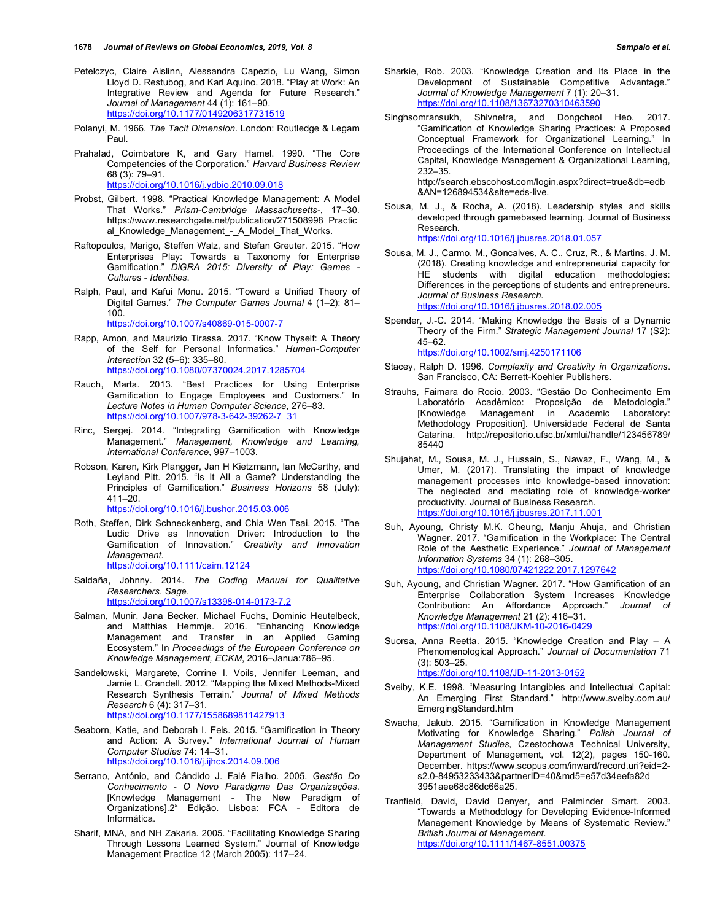- Petelczyc, Claire Aislinn, Alessandra Capezio, Lu Wang, Simon Lloyd D. Restubog, and Karl Aquino. 2018. "Play at Work: An Integrative Review and Agenda for Future Research." *Journal of Management* 44 (1): 161–90. https://doi.org/10.1177/0149206317731519
- Polanyi, M. 1966. *The Tacit Dimension*. London: Routledge & Legam Paul.
- Prahalad, Coimbatore K, and Gary Hamel. 1990. "The Core Competencies of the Corporation." *Harvard Business Review* 68 (3): 79–91. https://doi.org/10.1016/j.ydbio.2010.09.018
- Probst, Gilbert. 1998. "Practical Knowledge Management: A Model That Works." *Prism-Cambridge Massachusetts-*, 17–30. https://www.researchgate.net/publication/271508998\_Practic al\_Knowledge\_Management\_-\_A\_Model\_That\_Works.
- Raftopoulos, Marigo, Steffen Walz, and Stefan Greuter. 2015. "How Enterprises Play: Towards a Taxonomy for Enterprise Gamification." *DiGRA 2015: Diversity of Play: Games - Cultures - Identities*.
- Ralph, Paul, and Kafui Monu. 2015. "Toward a Unified Theory of Digital Games." *The Computer Games Journal* 4 (1–2): 81– 100.

https://doi.org/10.1007/s40869-015-0007-7

- Rapp, Amon, and Maurizio Tirassa. 2017. "Know Thyself: A Theory of the Self for Personal Informatics." *Human-Computer Interaction* 32 (5–6): 335–80. https://doi.org/10.1080/07370024.2017.1285704
- Rauch, Marta. 2013. "Best Practices for Using Enterprise Gamification to Engage Employees and Customers." In *Lecture Notes in Human Computer Science*, 276–83. https://doi.org/10.1007/978-3-642-39262-7\_31
- Rinc, Sergej. 2014. "Integrating Gamification with Knowledge Management." *Management, Knowledge and Learning, International Conference*, 997–1003.
- Robson, Karen, Kirk Plangger, Jan H Kietzmann, Ian McCarthy, and Leyland Pitt. 2015. "Is It All a Game? Understanding the Principles of Gamification." *Business Horizons* 58 (July):  $411 - 20$ .

https://doi.org/10.1016/j.bushor.2015.03.006

- Roth, Steffen, Dirk Schneckenberg, and Chia Wen Tsai. 2015. "The Ludic Drive as Innovation Driver: Introduction to the Gamification of Innovation." *Creativity and Innovation Management*. https://doi.org/10.1111/caim.12124
- Saldaña, Johnny. 2014. *The Coding Manual for Qualitative Researchers*. *Sage*.

https://doi.org/10.1007/s13398-014-0173-7.2

- Salman, Munir, Jana Becker, Michael Fuchs, Dominic Heutelbeck, and Matthias Hemmje. 2016. "Enhancing Knowledge Management and Transfer in an Applied Gaming Ecosystem." In *Proceedings of the European Conference on Knowledge Management, ECKM*, 2016–Janua:786–95.
- Sandelowski, Margarete, Corrine I. Voils, Jennifer Leeman, and Jamie L. Crandell. 2012. "Mapping the Mixed Methods-Mixed Research Synthesis Terrain." *Journal of Mixed Methods Research* 6 (4): 317–31. https://doi.org/10.1177/1558689811427913
- Seaborn, Katie, and Deborah I. Fels. 2015. "Gamification in Theory and Action: A Survey." *International Journal of Human Computer Studies* 74: 14–31. https://doi.org/10.1016/j.ijhcs.2014.09.006
- Serrano, António, and Cândido J. Falé Fialho. 2005. *Gestão Do Conhecimento - O Novo Paradigma Das Organizações*. [Knowledge Management - The New Paradigm of Organizations].2<sup>ª</sup> Edição. Lisboa: FCA - Editora de Informática.
- Sharif, MNA, and NH Zakaria. 2005. "Facilitating Knowledge Sharing Through Lessons Learned System." Journal of Knowledge Management Practice 12 (March 2005): 117–24.
- Sharkie, Rob. 2003. "Knowledge Creation and Its Place in the Development of Sustainable Competitive Advantage." *Journal of Knowledge Management* 7 (1): 20–31. https://doi.org/10.1108/13673270310463590
- Singhsomransukh, Shivnetra, and Dongcheol Heo. 2017. "Gamification of Knowledge Sharing Practices: A Proposed Conceptual Framework for Organizational Learning." In Proceedings of the International Conference on Intellectual Capital, Knowledge Management & Organizational Learning, 232–35.

http://search.ebscohost.com/login.aspx?direct=true&db=edb &AN=126894534&site=eds-live.

Sousa, M. J., & Rocha, A. (2018). Leadership styles and skills developed through gamebased learning. Journal of Business Research.

https://doi.org/10.1016/j.jbusres.2018.01.057

- Sousa, M. J., Carmo, M., Goncalves, A. C., Cruz, R., & Martins, J. M. (2018). Creating knowledge and entrepreneurial capacity for HE students with digital education methodologies: Differences in the perceptions of students and entrepreneurs. *Journal of Business Research*. https://doi.org/10.1016/j.jbusres.2018.02.005
- Spender, J.-C. 2014. "Making Knowledge the Basis of a Dynamic Theory of the Firm." *Strategic Management Journal* 17 (S2): 45–62.

https://doi.org/10.1002/smj.4250171106

- Stacey, Ralph D. 1996. *Complexity and Creativity in Organizations*. San Francisco, CA: Berrett-Koehler Publishers.
- Strauhs, Faimara do Rocio. 2003. "Gestão Do Conhecimento Em Laboratório Acadêmico: Proposição de Metodologia." [Knowledge Management in Academic Laboratory: Methodology Proposition]. Universidade Federal de Santa Catarina. http://repositorio.ufsc.br/xmlui/handle/123456789/ 85440
- Shujahat, M., Sousa, M. J., Hussain, S., Nawaz, F., Wang, M., & Umer, M. (2017). Translating the impact of knowledge management processes into knowledge-based innovation: The neglected and mediating role of knowledge-worker productivity. Journal of Business Research. https://doi.org/10.1016/j.jbusres.2017.11.001
- Suh, Ayoung, Christy M.K. Cheung, Manju Ahuja, and Christian Wagner. 2017. "Gamification in the Workplace: The Central Role of the Aesthetic Experience." *Journal of Management Information Systems* 34 (1): 268–305. https://doi.org/10.1080/07421222.2017.1297642
- Suh, Ayoung, and Christian Wagner. 2017. "How Gamification of an Enterprise Collaboration System Increases Knowledge Contribution: An Affordance Approach." *Journal of Knowledge Management* 21 (2): 416–31. https://doi.org/10.1108/JKM-10-2016-0429
- Suorsa, Anna Reetta. 2015. "Knowledge Creation and Play A Phenomenological Approach." *Journal of Documentation* 71 (3): 503–25. https://doi.org/10.1108/JD-11-2013-0152
- Sveiby, K.E. 1998. "Measuring Intangibles and Intellectual Capital: An Emerging First Standard." http://www.sveiby.com.au/ EmergingStandard.htm
- Swacha, Jakub. 2015. "Gamification in Knowledge Management Motivating for Knowledge Sharing." *Polish Journal of Management Studies,* Czestochowa Technical University, Department of Management, vol. 12(2), pages 150-160. December. https://www.scopus.com/inward/record.uri?eid=2 s2.0-84953233433&partnerID=40&md5=e57d34eefa82d 3951aee68c86dc66a25.
- Tranfield, David, David Denyer, and Palminder Smart. 2003. "Towards a Methodology for Developing Evidence-Informed Management Knowledge by Means of Systematic Review." *British Journal of Management*. https://doi.org/10.1111/1467-8551.00375